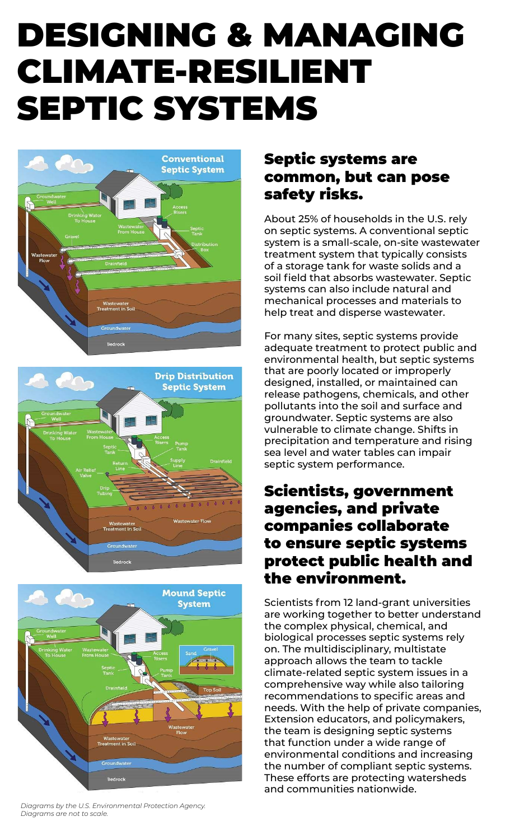# DESIGNING & MANAGING CLIMATE-RESILIENT SEPTIC SYSTEMS







*Diagrams by the U.S. Environmental Protection Agency. Diagrams are not to scale.* 

# Septic systems are common, but can pose safety risks.

About 25% of households in the U.S. rely on septic systems. A conventional septic system is a small-scale, on-site wastewater treatment system that typically consists of a storage tank for waste solids and a soil field that absorbs wastewater. Septic systems can also include natural and mechanical processes and materials to help treat and disperse wastewater.

For many sites, septic systems provide adequate treatment to protect public and environmental health, but septic systems that are poorly located or improperly designed, installed, or maintained can release pathogens, chemicals, and other pollutants into the soil and surface and groundwater. Septic systems are also vulnerable to climate change. Shifts in precipitation and temperature and rising sea level and water tables can impair septic system performance.

# Scientists, government agencies, and private companies collaborate to ensure septic systems protect public health and the environment.

Scientists from 12 land-grant universities are working together to better understand the complex physical, chemical, and biological processes septic systems rely on. The multidisciplinary, multistate approach allows the team to tackle climate-related septic system issues in a comprehensive way while also tailoring recommendations to specific areas and needs. With the help of private companies, Extension educators, and policymakers, the team is designing septic systems that function under a wide range of environmental conditions and increasing the number of compliant septic systems. These efforts are protecting watersheds and communities nationwide.